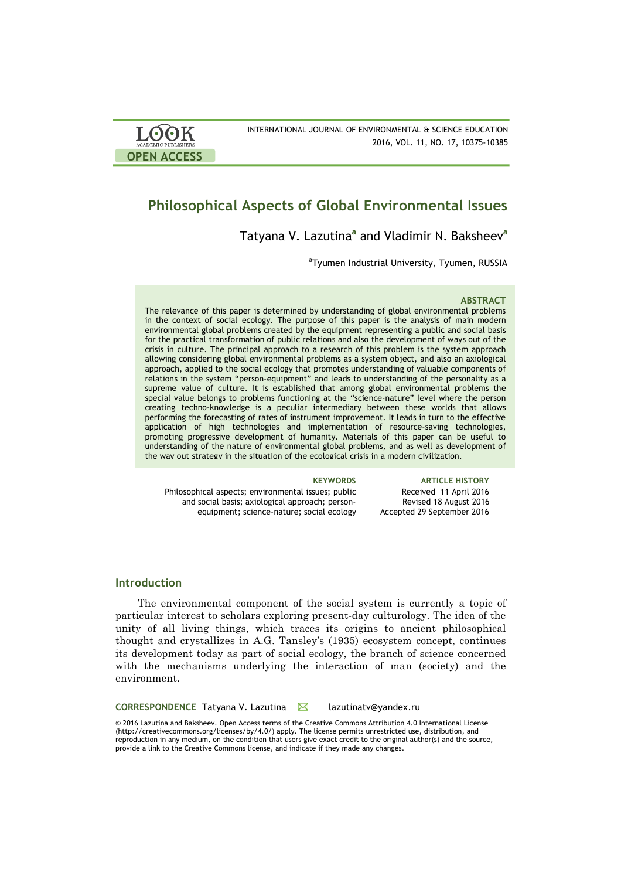| <b>LOOK</b>                | INTERNATIONAL JOURNAL OF ENVIRONMENTAL & SCIENCE EDUCATION |
|----------------------------|------------------------------------------------------------|
| <b>ACADEMIC PUBLISHERS</b> | 2016, VOL. 11, NO. 17, 10375-10385                         |
| <b>OPEN ACCESS</b>         |                                                            |

# **Philosophical Aspects of Global Environmental Issues**

# Tatyana V. Lazutina**<sup>a</sup>** and Vladimir N. Baksheev**<sup>a</sup>**

<sup>a</sup>Tyumen Industrial University, Tyumen, RUSSIA

#### **ABSTRACT**

The relevance of this paper is determined by understanding of global environmental problems in the context of social ecology. The purpose of this paper is the analysis of main modern environmental global problems created by the equipment representing a public and social basis for the practical transformation of public relations and also the development of ways out of the crisis in culture. The principal approach to a research of this problem is the system approach allowing considering global environmental problems as a system object, and also an axiological approach, applied to the social ecology that promotes understanding of valuable components of relations in the system "person-equipment" and leads to understanding of the personality as a supreme value of culture. It is established that among global environmental problems the special value belongs to problems functioning at the "science-nature" level where the person creating techno-knowledge is a peculiar intermediary between these worlds that allows performing the forecasting of rates of instrument improvement. It leads in turn to the effective application of high technologies and implementation of resource-saving technologies, promoting progressive development of humanity. Materials of this paper can be useful to understanding of the nature of environmental global problems, and as well as development of the way out strategy in the situation of the ecological crisis in a modern civilization.

Philosophical aspects; environmental issues; public and social basis; axiological approach; personequipment; science-nature; social ecology

**KEYWORDS ARTICLE HISTORY** Received 11 April 2016 Revised 18 August 2016 Accepted 29 September 2016

### **Introduction**

The environmental component of the social system is currently a topic of particular interest to scholars exploring present-day culturology. The idea of the unity of all living things, which traces its origins to ancient philosophical thought and crystallizes in A.G. Tansley's (1935) ecosystem concept, continues its development today as part of social ecology, the branch of science concerned with the mechanisms underlying the interaction of man (society) and the environment.

CORRESPONDENCE Tatyana V. Lazutina **M** lazutinaty@yandex.ru

© 2016 Lazutina and Baksheev. Open Access terms of the Creative Commons Attribution 4.0 International License (http://creativecommons.org/licenses/by/4.0/) apply. The license permits unrestricted use, distribution, and reproduction in any medium, on the condition that users give exact credit to the original author(s) and the source, provide a link to the Creative Commons license, and indicate if they made any changes.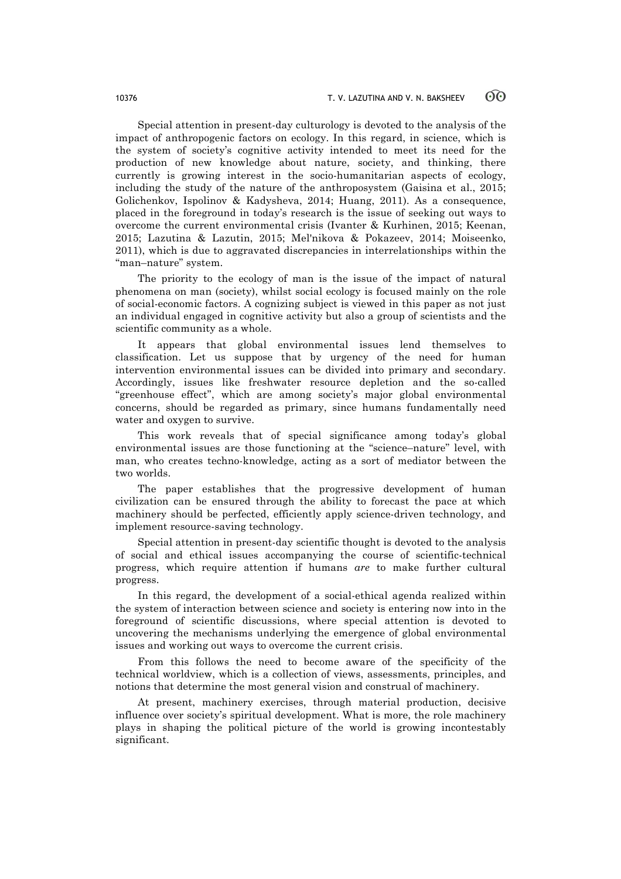Special attention in present-day culturology is devoted to the analysis of the impact of anthropogenic factors on ecology. In this regard, in science, which is the system of society's cognitive activity intended to meet its need for the production of new knowledge about nature, society, and thinking, there currently is growing interest in the socio-humanitarian aspects of ecology, including the study of the nature of the anthroposystem (Gaisina et al., 2015; Golichenkov, Ispolinov & Kadysheva, 2014; Huang, 2011). As a consequence, placed in the foreground in today's research is the issue of seeking out ways to overcome the current environmental crisis (Ivanter & Kurhinen, 2015; Keenan, 2015; Lazutina & Lazutin, 2015; Mel'nikova & Pokazeev, 2014; Moiseenko, 2011), which is due to aggravated discrepancies in interrelationships within the "man–nature" system.

The priority to the ecology of man is the issue of the impact of natural phenomena on man (society), whilst social ecology is focused mainly on the role of social-economic factors. A cognizing subject is viewed in this paper as not just an individual engaged in cognitive activity but also a group of scientists and the scientific community as a whole.

It appears that global environmental issues lend themselves to classification. Let us suppose that by urgency of the need for human intervention environmental issues can be divided into primary and secondary. Accordingly, issues like freshwater resource depletion and the so-called "greenhouse effect", which are among society's major global environmental concerns, should be regarded as primary, since humans fundamentally need water and oxygen to survive.

This work reveals that of special significance among today's global environmental issues are those functioning at the "science–nature" level, with man, who creates techno-knowledge, acting as a sort of mediator between the two worlds.

The paper establishes that the progressive development of human civilization can be ensured through the ability to forecast the pace at which machinery should be perfected, efficiently apply science-driven technology, and implement resource-saving technology.

Special attention in present-day scientific thought is devoted to the analysis of social and ethical issues accompanying the course of scientific-technical progress, which require attention if humans *are* to make further cultural progress.

In this regard, the development of a social-ethical agenda realized within the system of interaction between science and society is entering now into in the foreground of scientific discussions, where special attention is devoted to uncovering the mechanisms underlying the emergence of global environmental issues and working out ways to overcome the current crisis.

From this follows the need to become aware of the specificity of the technical worldview, which is a collection of views, assessments, principles, and notions that determine the most general vision and construal of machinery.

At present, machinery exercises, through material production, decisive influence over society's spiritual development. What is more, the role machinery plays in shaping the political picture of the world is growing incontestably significant.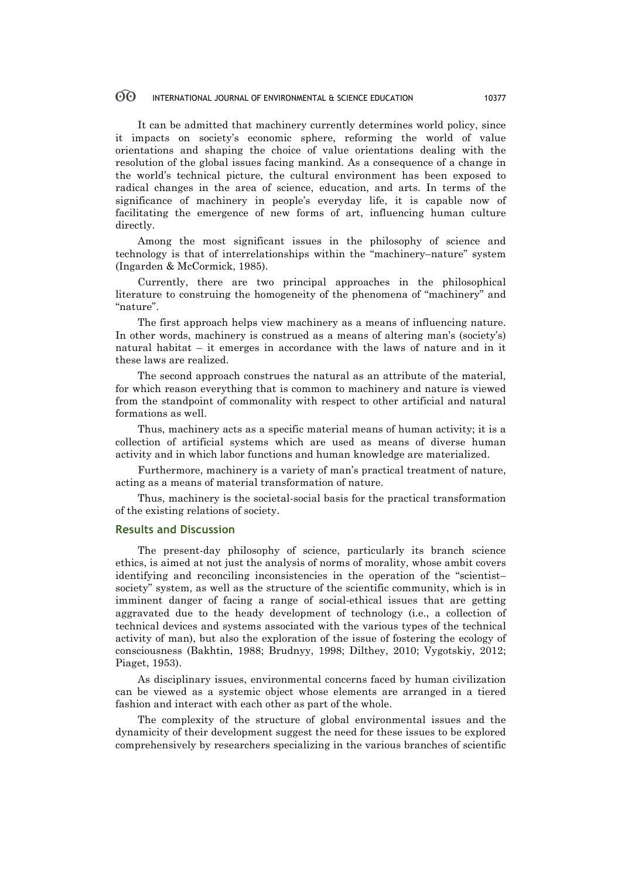It can be admitted that machinery currently determines world policy, since it impacts on society's economic sphere, reforming the world of value orientations and shaping the choice of value orientations dealing with the resolution of the global issues facing mankind. As a consequence of a change in the world's technical picture, the cultural environment has been exposed to radical changes in the area of science, education, and arts. In terms of the significance of machinery in people's everyday life, it is capable now of facilitating the emergence of new forms of art, influencing human culture directly.

Among the most significant issues in the philosophy of science and technology is that of interrelationships within the "machinery–nature" system (Ingarden & McCormick, 1985).

Currently, there are two principal approaches in the philosophical literature to construing the homogeneity of the phenomena of "machinery" and "nature".

The first approach helps view machinery as a means of influencing nature. In other words, machinery is construed as a means of altering man's (society's) natural habitat – it emerges in accordance with the laws of nature and in it these laws are realized.

The second approach construes the natural as an attribute of the material, for which reason everything that is common to machinery and nature is viewed from the standpoint of commonality with respect to other artificial and natural formations as well.

Thus, machinery acts as a specific material means of human activity; it is a collection of artificial systems which are used as means of diverse human activity and in which labor functions and human knowledge are materialized.

Furthermore, machinery is a variety of man's practical treatment of nature, acting as a means of material transformation of nature.

Thus, machinery is the societal-social basis for the practical transformation of the existing relations of society.

#### **Results and Discussion**

The present-day philosophy of science, particularly its branch science ethics, is aimed at not just the analysis of norms of morality, whose ambit covers identifying and reconciling inconsistencies in the operation of the "scientist– society" system, as well as the structure of the scientific community, which is in imminent danger of facing a range of social-ethical issues that are getting aggravated due to the heady development of technology (i.e., a collection of technical devices and systems associated with the various types of the technical activity of man), but also the exploration of the issue of fostering the ecology of consciousness (Bakhtin, 1988; Brudnyy, 1998; Dilthey, 2010; Vygotskiy, 2012; Piaget, 1953).

As disciplinary issues, environmental concerns faced by human civilization can be viewed as a systemic object whose elements are arranged in a tiered fashion and interact with each other as part of the whole.

The complexity of the structure of global environmental issues and the dynamicity of their development suggest the need for these issues to be explored comprehensively by researchers specializing in the various branches of scientific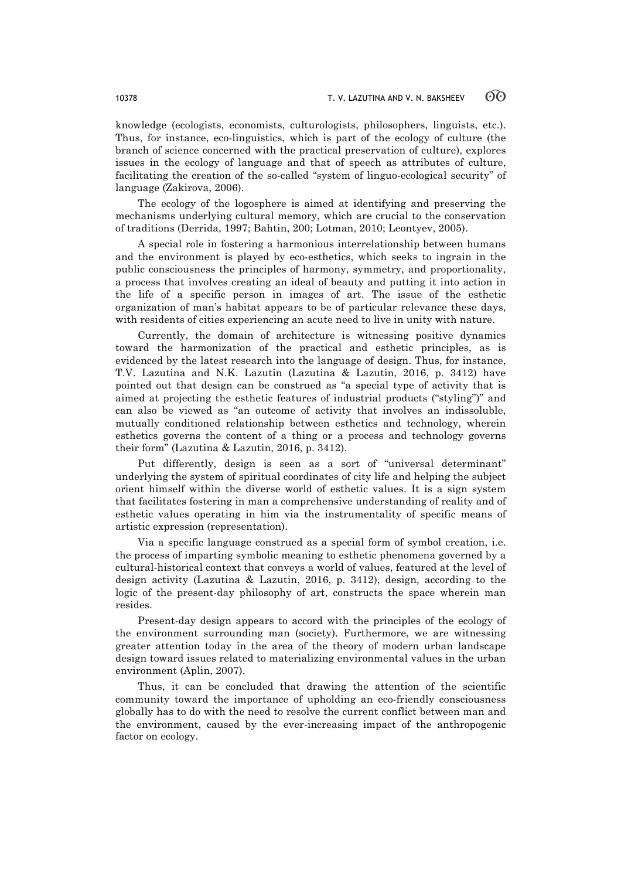knowledge (ecologists, economists, culturologists, philosophers, linguists, etc.). Thus, for instance, eco-linguistics, which is part of the ecology of culture (the branch of science concerned with the practical preservation of culture), explores issues in the ecology of language and that of speech as attributes of culture, facilitating the creation of the so-called "system of linguo-ecological security" of language (Zakirova, 2006).

The ecology of the logosphere is aimed at identifying and preserving the mechanisms underlying cultural memory, which are crucial to the conservation of traditions (Derrida, 1997; Bahtin, 200; Lotman, 2010; Leontyev, 2005).

A special role in fostering a harmonious interrelationship between humans and the environment is played by eco-esthetics, which seeks to ingrain in the public consciousness the principles of harmony, symmetry, and proportionality, a process that involves creating an ideal of beauty and putting it into action in the life of a specific person in images of art. The issue of the esthetic organization of man's habitat appears to be of particular relevance these days, with residents of cities experiencing an acute need to live in unity with nature.

Currently, the domain of architecture is witnessing positive dynamics toward the harmonization of the practical and esthetic principles, as is evidenced by the latest research into the language of design. Thus, for instance, T.V. Lazutina and N.K. Lazutin (Lazutina & Lazutin, 2016, p. 3412) have pointed out that design can be construed as "a special type of activity that is aimed at projecting the esthetic features of industrial products ("styling")" and can also be viewed as "an outcome of activity that involves an indissoluble, mutually conditioned relationship between esthetics and technology, wherein esthetics governs the content of a thing or a process and technology governs their form" (Lazutina & Lazutin, 2016, p. 3412).

Put differently, design is seen as a sort of "universal determinant" underlying the system of spiritual coordinates of city life and helping the subject orient himself within the diverse world of esthetic values. It is a sign system that facilitates fostering in man a comprehensive understanding of reality and of esthetic values operating in him via the instrumentality of specific means of artistic expression (representation).

Via a specific language construed as a special form of symbol creation, i.e. the process of imparting symbolic meaning to esthetic phenomena governed by a cultural-historical context that conveys a world of values, featured at the level of design activity (Lazutina & Lazutin, 2016, p. 3412), design, according to the logic of the present-day philosophy of art, constructs the space wherein man resides.

Present-day design appears to accord with the principles of the ecology of the environment surrounding man (society). Furthermore, we are witnessing greater attention today in the area of the theory of modern urban landscape design toward issues related to materializing environmental values in the urban environment (Aplin, 2007).

Thus, it can be concluded that drawing the attention of the scientific community toward the importance of upholding an eco-friendly consciousness globally has to do with the need to resolve the current conflict between man and the environment, caused by the ever-increasing impact of the anthropogenic factor on ecology.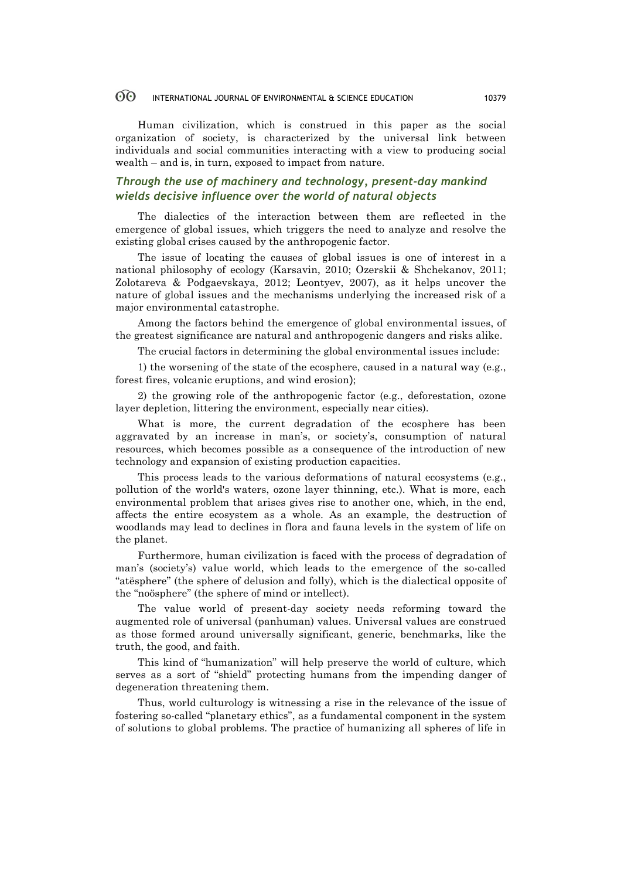Human civilization, which is construed in this paper as the social organization of society, is characterized by the universal link between individuals and social communities interacting with a view to producing social wealth – and is, in turn, exposed to impact from nature.

## *Through the use of machinery and technology, present-day mankind wields decisive influence over the world of natural objects*

The dialectics of the interaction between them are reflected in the emergence of global issues, which triggers the need to analyze and resolve the existing global crises caused by the anthropogenic factor.

The issue of locating the causes of global issues is one of interest in a national philosophy of ecology (Karsavin, 2010; Ozerskii & Shchekanov, 2011; Zolotareva & Podgaevskaya, 2012; Leontyev, 2007), as it helps uncover the nature of global issues and the mechanisms underlying the increased risk of a major environmental catastrophe.

Among the factors behind the emergence of global environmental issues, of the greatest significance are natural and anthropogenic dangers and risks alike.

The crucial factors in determining the global environmental issues include:

1) the worsening of the state of the ecosphere, caused in a natural way (e.g., forest fires, volcanic eruptions, and wind erosion);

2) the growing role of the anthropogenic factor (e.g., deforestation, ozone layer depletion, littering the environment, especially near cities).

What is more, the current degradation of the ecosphere has been aggravated by an increase in man's, or society's, consumption of natural resources, which becomes possible as a consequence of the introduction of new technology and expansion of existing production capacities.

This process leads to the various deformations of natural ecosystems (e.g., pollution of the world's waters, ozone layer thinning, etc.). What is more, each environmental problem that arises gives rise to another one, which, in the end, affects the entire ecosystem as a whole. As an example, the destruction of woodlands may lead to declines in flora and fauna levels in the system of life on the planet.

Furthermore, human civilization is faced with the process of degradation of man's (society's) value world, which leads to the emergence of the so-called "atësphere" (the sphere of delusion and folly), which is the dialectical opposite of the "noösphere" (the sphere of mind or intellect).

The value world of present-day society needs reforming toward the augmented role of universal (panhuman) values. Universal values are construed as those formed around universally significant, generic, benchmarks, like the truth, the good, and faith.

This kind of "humanization" will help preserve the world of culture, which serves as a sort of "shield" protecting humans from the impending danger of degeneration threatening them.

Thus, world culturology is witnessing a rise in the relevance of the issue of fostering so-called "planetary ethics", as a fundamental component in the system of solutions to global problems. The practice of humanizing all spheres of life in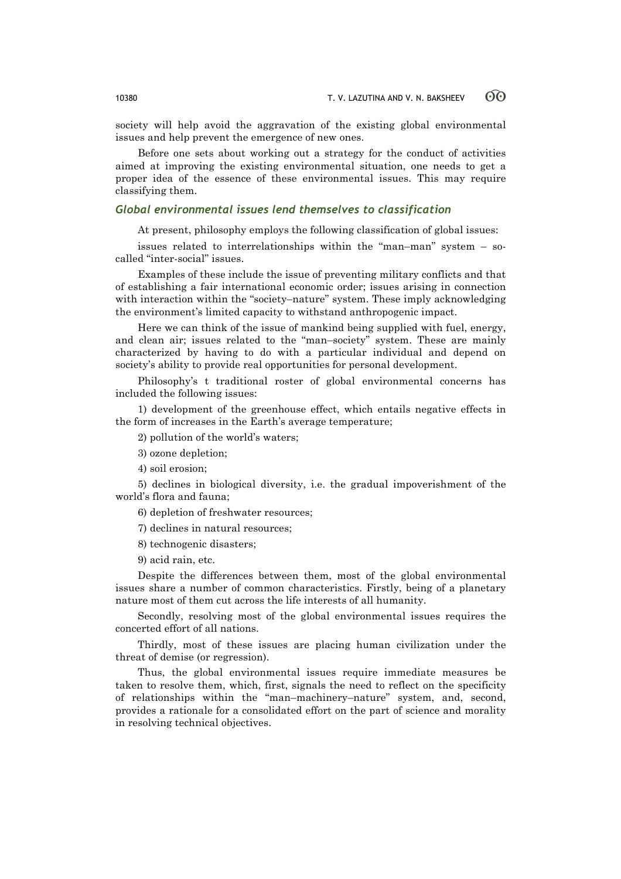society will help avoid the aggravation of the existing global environmental issues and help prevent the emergence of new ones.

Before one sets about working out a strategy for the conduct of activities aimed at improving the existing environmental situation, one needs to get a proper idea of the essence of these environmental issues. This may require classifying them.

### *Global environmental issues lend themselves to classification*

At present, philosophy employs the following classification of global issues:

issues related to interrelationships within the "man–man" system – socalled "inter-social" issues.

Examples of these include the issue of preventing military conflicts and that of establishing a fair international economic order; issues arising in connection with interaction within the "society–nature" system. These imply acknowledging the environment's limited capacity to withstand anthropogenic impact.

Here we can think of the issue of mankind being supplied with fuel, energy, and clean air; issues related to the "man–society" system. These are mainly characterized by having to do with a particular individual and depend on society's ability to provide real opportunities for personal development.

Philosophy's t traditional roster of global environmental concerns has included the following issues:

1) development of the greenhouse effect, which entails negative effects in the form of increases in the Earth's average temperature;

2) pollution of the world's waters;

3) ozone depletion;

4) soil erosion;

5) declines in biological diversity, i.e. the gradual impoverishment of the world's flora and fauna;

6) depletion of freshwater resources;

7) declines in natural resources;

8) technogenic disasters;

9) acid rain, etc.

Despite the differences between them, most of the global environmental issues share a number of common characteristics. Firstly, being of a planetary nature most of them cut across the life interests of all humanity.

Secondly, resolving most of the global environmental issues requires the concerted effort of all nations.

Thirdly, most of these issues are placing human civilization under the threat of demise (or regression).

Thus, the global environmental issues require immediate measures be taken to resolve them, which, first, signals the need to reflect on the specificity of relationships within the "man–machinery–nature" system, and, second, provides a rationale for a consolidated effort on the part of science and morality in resolving technical objectives.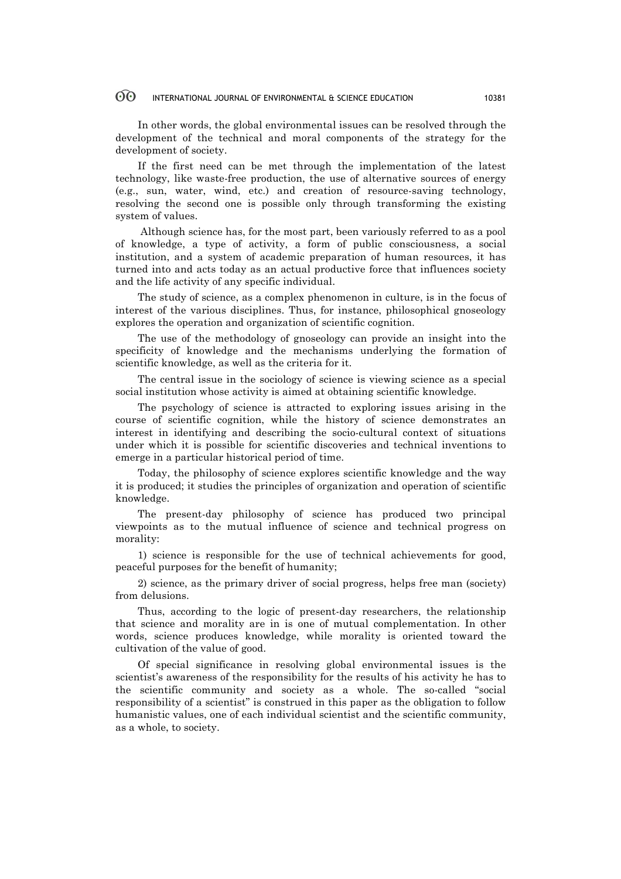In other words, the global environmental issues can be resolved through the development of the technical and moral components of the strategy for the development of society.

If the first need can be met through the implementation of the latest technology, like waste-free production, the use of alternative sources of energy (e.g., sun, water, wind, etc.) and creation of resource-saving technology, resolving the second one is possible only through transforming the existing system of values.

Although science has, for the most part, been variously referred to as a pool of knowledge, a type of activity, a form of public consciousness, a social institution, and a system of academic preparation of human resources, it has turned into and acts today as an actual productive force that influences society and the life activity of any specific individual.

The study of science, as a complex phenomenon in culture, is in the focus of interest of the various disciplines. Thus, for instance, philosophical gnoseology explores the operation and organization of scientific cognition.

The use of the methodology of gnoseology can provide an insight into the specificity of knowledge and the mechanisms underlying the formation of scientific knowledge, as well as the criteria for it.

The central issue in the sociology of science is viewing science as a special social institution whose activity is aimed at obtaining scientific knowledge.

The psychology of science is attracted to exploring issues arising in the course of scientific cognition, while the history of science demonstrates an interest in identifying and describing the socio-cultural context of situations under which it is possible for scientific discoveries and technical inventions to emerge in a particular historical period of time.

Today, the philosophy of science explores scientific knowledge and the way it is produced; it studies the principles of organization and operation of scientific knowledge.

The present-day philosophy of science has produced two principal viewpoints as to the mutual influence of science and technical progress on morality:

1) science is responsible for the use of technical achievements for good, peaceful purposes for the benefit of humanity;

2) science, as the primary driver of social progress, helps free man (society) from delusions.

Thus, according to the logic of present-day researchers, the relationship that science and morality are in is one of mutual complementation. In other words, science produces knowledge, while morality is oriented toward the cultivation of the value of good.

Of special significance in resolving global environmental issues is the scientist's awareness of the responsibility for the results of his activity he has to the scientific community and society as a whole. The so-called "social responsibility of a scientist" is construed in this paper as the obligation to follow humanistic values, one of each individual scientist and the scientific community, as a whole, to society.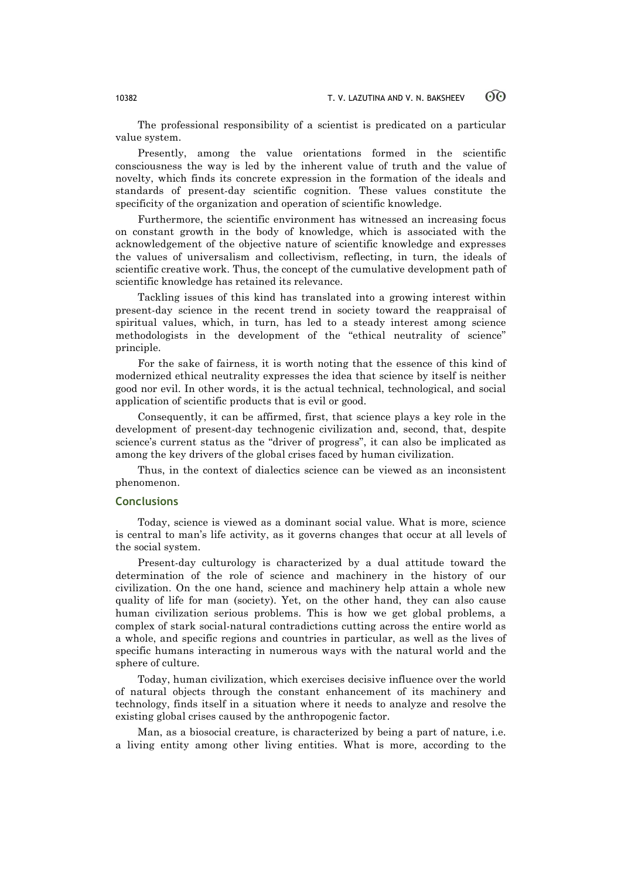The professional responsibility of a scientist is predicated on a particular value system.

Presently, among the value orientations formed in the scientific consciousness the way is led by the inherent value of truth and the value of novelty, which finds its concrete expression in the formation of the ideals and standards of present-day scientific cognition. These values constitute the specificity of the organization and operation of scientific knowledge.

Furthermore, the scientific environment has witnessed an increasing focus on constant growth in the body of knowledge, which is associated with the acknowledgement of the objective nature of scientific knowledge and expresses the values of universalism and collectivism, reflecting, in turn, the ideals of scientific creative work. Thus, the concept of the cumulative development path of scientific knowledge has retained its relevance.

Tackling issues of this kind has translated into a growing interest within present-day science in the recent trend in society toward the reappraisal of spiritual values, which, in turn, has led to a steady interest among science methodologists in the development of the "ethical neutrality of science" principle.

For the sake of fairness, it is worth noting that the essence of this kind of modernized ethical neutrality expresses the idea that science by itself is neither good nor evil. In other words, it is the actual technical, technological, and social application of scientific products that is evil or good.

Consequently, it can be affirmed, first, that science plays a key role in the development of present-day technogenic civilization and, second, that, despite science's current status as the "driver of progress", it can also be implicated as among the key drivers of the global crises faced by human civilization.

Thus, in the context of dialectics science can be viewed as an inconsistent phenomenon.

### **Conclusions**

Today, science is viewed as a dominant social value. What is more, science is central to man's life activity, as it governs changes that occur at all levels of the social system.

Present-day culturology is characterized by a dual attitude toward the determination of the role of science and machinery in the history of our civilization. On the one hand, science and machinery help attain a whole new quality of life for man (society). Yet, on the other hand, they can also cause human civilization serious problems. This is how we get global problems, a complex of stark social-natural contradictions cutting across the entire world as a whole, and specific regions and countries in particular, as well as the lives of specific humans interacting in numerous ways with the natural world and the sphere of culture.

Today, human civilization, which exercises decisive influence over the world of natural objects through the constant enhancement of its machinery and technology, finds itself in a situation where it needs to analyze and resolve the existing global crises caused by the anthropogenic factor.

Man, as a biosocial creature, is characterized by being a part of nature, i.e. a living entity among other living entities. What is more, according to the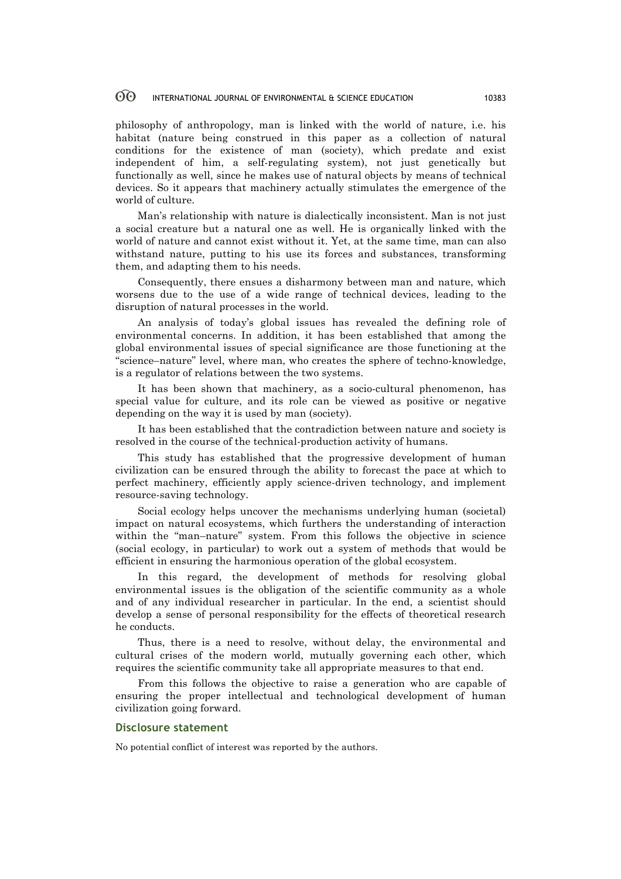philosophy of anthropology, man is linked with the world of nature, i.e. his habitat (nature being construed in this paper as a collection of natural conditions for the existence of man (society), which predate and exist independent of him, a self-regulating system), not just genetically but functionally as well, since he makes use of natural objects by means of technical devices. So it appears that machinery actually stimulates the emergence of the world of culture.

Man's relationship with nature is dialectically inconsistent. Man is not just a social creature but a natural one as well. He is organically linked with the world of nature and cannot exist without it. Yet, at the same time, man can also withstand nature, putting to his use its forces and substances, transforming them, and adapting them to his needs.

Consequently, there ensues a disharmony between man and nature, which worsens due to the use of a wide range of technical devices, leading to the disruption of natural processes in the world.

An analysis of today's global issues has revealed the defining role of environmental concerns. In addition, it has been established that among the global environmental issues of special significance are those functioning at the "science–nature" level, where man, who creates the sphere of techno-knowledge, is a regulator of relations between the two systems.

It has been shown that machinery, as a socio-cultural phenomenon, has special value for culture, and its role can be viewed as positive or negative depending on the way it is used by man (society).

It has been established that the contradiction between nature and society is resolved in the course of the technical-production activity of humans.

This study has established that the progressive development of human civilization can be ensured through the ability to forecast the pace at which to perfect machinery, efficiently apply science-driven technology, and implement resource-saving technology.

Social ecology helps uncover the mechanisms underlying human (societal) impact on natural ecosystems, which furthers the understanding of interaction within the "man-nature" system. From this follows the objective in science (social ecology, in particular) to work out a system of methods that would be efficient in ensuring the harmonious operation of the global ecosystem.

In this regard, the development of methods for resolving global environmental issues is the obligation of the scientific community as a whole and of any individual researcher in particular. In the end, a scientist should develop a sense of personal responsibility for the effects of theoretical research he conducts.

Thus, there is a need to resolve, without delay, the environmental and cultural crises of the modern world, mutually governing each other, which requires the scientific community take all appropriate measures to that end.

From this follows the objective to raise a generation who are capable of ensuring the proper intellectual and technological development of human civilization going forward.

### **Disclosure statement**

No potential conflict of interest was reported by the authors.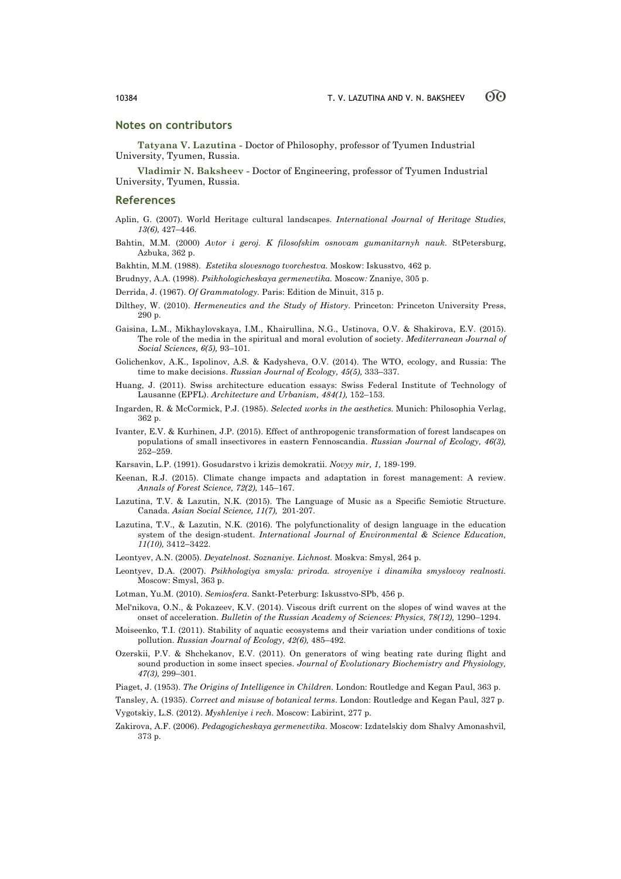### **Notes on contributors**

**Tatyana V. Lazutina -** Doctor of Philosophy, professor of Tyumen Industrial University, Tyumen, Russia.

**Vladimir N. Baksheev -** Doctor of Engineering, professor of Tyumen Industrial University, Tyumen, Russia.

#### **References**

- Aplin, G. (2007). World Heritage cultural landscapes. *International Journal of Heritage Studies, 13(6),* 427–446.
- Bahtin, M.M. (2000) *Avtor i geroj. K filosofskim osnovam gumanitarnyh nauk*. StPetersburg, Azbuka, 362 p.

Bakhtin, M.M. (1988). *Estetika slovesnogo tvorchestva.* Moskow: Iskusstvo, 462 p.

Brudnyy, A.A. (1998). *Psikhologicheskaya germenevtika.* Moscow*:* Znaniye, 305 p.

Derrida, J. (1967). *Of Grammatology.* Paris: Edition de Minuit, 315 p.

- Dilthey, W. (2010). *Hermeneutics and the Study of History.* Princeton: Princeton University Press, 290 p.
- Gaisina, L.M., Mikhaylovskaya, I.M., Khairullina, N.G., Ustinova, O.V. & Shakirova, E.V. (2015). The role of the media in the spiritual and moral evolution of society. *Mediterranean Journal of Social Sciences, 6(5),* 93–101.
- Golichenkov, A.K., Ispolinov, A.S. & Kadysheva, O.V. (2014). The WTO, ecology, and Russia: The time to make decisions. *Russian Journal of Ecology, 45(5),* 333–337.
- Huang, J. (2011). Swiss architecture education essays: Swiss Federal Institute of Technology of Lausanne (EPFL). *Architecture and Urbanism, 484(1),* 152–153.
- Ingarden, R. & McCormick, P.J. (1985). *Selected works in the aesthetics.* Munich: Philosophia Verlag, 362 p.
- Ivanter, E.V. & Kurhinen, J.P. (2015). Effect of anthropogenic transformation of forest landscapes on populations of small insectivores in eastern Fennoscandia. *Russian Journal of Ecology, 46(3),* 252–259.

Karsavin, L.P. (1991). Gosudarstvo i krizis demokratii. *Novyy mir, 1,* 189-199.

- Keenan, R.J. (2015). Climate change impacts and adaptation in forest management: A review. *Annals of Forest Science, 72(2),* 145–167.
- Lazutina, T.V. & Lazutin, N.K. (2015). The Language of Music as a Specific Semiotic Structure. Canada. *Asian Social Science, 11(7),* 201-207.
- Lazutina, T.V., & Lazutin, N.K. (2016). The polyfunctionality of design language in the education system of the design-student. *International Journal of Environmental & Science Education, 11(10),* 3412–3422.
- Leontyev, A.N. (2005). *Deyatelnost. Soznaniye. Lichnost.* Moskva: Smysl, 264 p.
- Leontyev, D.A. (2007). *Psikhologiya smysla: priroda. stroyeniye i dinamika smyslovoy realnosti.* Moscow: Smysl, 363 p.
- Lotman, Yu.M. (2010). *Semiosfera*. Sankt-Peterburg: Iskusstvo-SPb, 456 p.
- Mel'nikova, O.N., & Pokazeev, K.V. (2014). Viscous drift current on the slopes of wind waves at the onset of acceleration. *Bulletin of the Russian Academy of Sciences: Physics, 78(12),* 1290–1294.
- Moiseenko, T.I. (2011). Stability of aquatic ecosystems and their variation under conditions of toxic pollution. *Russian Journal of Ecology, 42(6),* 485–492.
- Ozerskii, P.V. & Shchekanov, E.V. (2011). On generators of wing beating rate during flight and sound production in some insect species. *Journal of Evolutionary Biochemistry and Physiology, 47(3),* 299–301.
- Piaget, J. (1953). *The Origins of Intelligence in Children.* London: Routledge and Kegan Paul, 363 p.
- Tansley, A. (1935). *Correct and misuse of botanical terms*. London: Routledge and Kegan Paul, 327 p. Vygotskiy, L.S. (2012). *Myshleniye i rech.* Moscow: Labirint, 277 p.
- Zakirova, A.F. (2006). *Pedagogicheskaya germenevtika*. Moscow: Izdatelskiy dom Shalvy Amonashvil*,*  373 p.